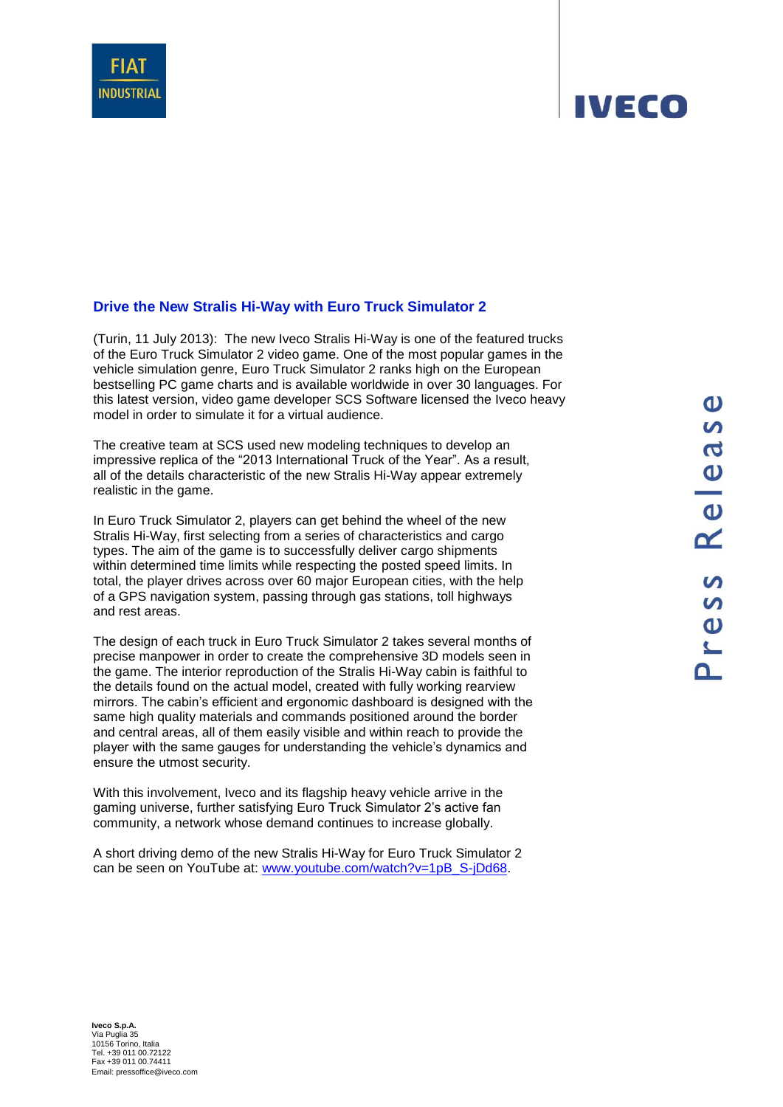## **Drive the New Stralis Hi-Way with Euro Truck Simulator 2**

(Turin, 11 July 2013): The new Iveco Stralis Hi-Way is one of the featured trucks of the Euro Truck Simulator 2 video game. One of the most popular games in the vehicle simulation genre, Euro Truck Simulator 2 ranks high on the European bestselling PC game charts and is available worldwide in over 30 languages. For this latest version, video game developer SCS Software licensed the Iveco heavy model in order to simulate it for a virtual audience.

The creative team at SCS used new modeling techniques to develop an impressive replica of the "2013 International Truck of the Year". As a result, all of the details characteristic of the new Stralis Hi-Way appear extremely realistic in the game.

In Euro Truck Simulator 2, players can get behind the wheel of the new Stralis Hi-Way, first selecting from a series of characteristics and cargo types. The aim of the game is to successfully deliver cargo shipments within determined time limits while respecting the posted speed limits. In total, the player drives across over 60 major European cities, with the help of a GPS navigation system, passing through gas stations, toll highways and rest areas.

The design of each truck in Euro Truck Simulator 2 takes several months of precise manpower in order to create the comprehensive 3D models seen in the game. The interior reproduction of the Stralis Hi-Way cabin is faithful to the details found on the actual model, created with fully working rearview mirrors. The cabin's efficient and ergonomic dashboard is designed with the same high quality materials and commands positioned around the border and central areas, all of them easily visible and within reach to provide the player with the same gauges for understanding the vehicle's dynamics and ensure the utmost security.

With this involvement, Iveco and its flagship heavy vehicle arrive in the gaming universe, further satisfying Euro Truck Simulator 2's active fan community, a network whose demand continues to increase globally.

A short driving demo of the new Stralis Hi-Way for Euro Truck Simulator 2 can be seen on YouTube at: [www.youtube.com/watch?v=1pB\\_S-jDd68.](http://www.youtube.com/watch?v=1pB_S-jDd68)